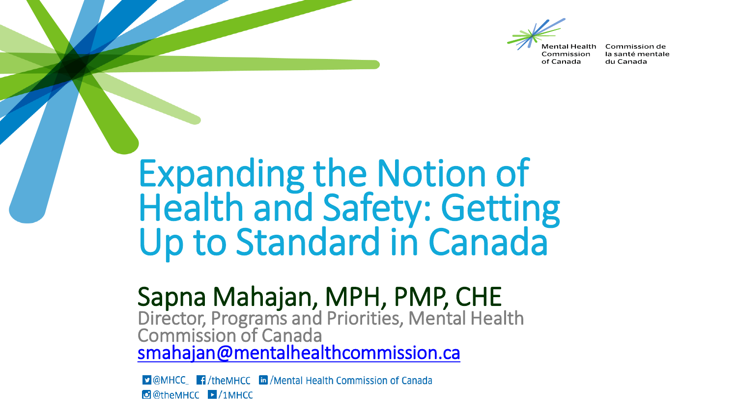

Commission of Canada

Commission de la santé mentale du Canada

## Expanding the Notion of Health and Safety: Getting Up to Standard in Canada

## Sapna Mahajan, MPH, PMP, CHE

Director, Programs and Priorities, Mental Health Commission of Canada [smahajan@mentalhealthcommission.ca](mailto:smahajan@mentalhealthcommission.ca)

**D** @MHCC\_ **T** /theMHCC **in** /Mental Health Commission of Canada O @theMHCC | /1MHCC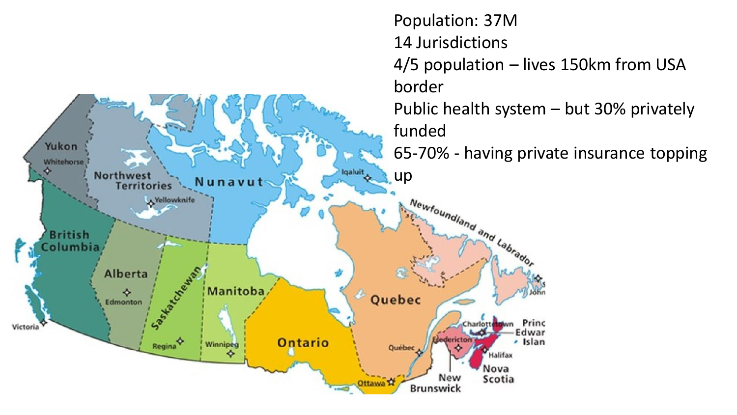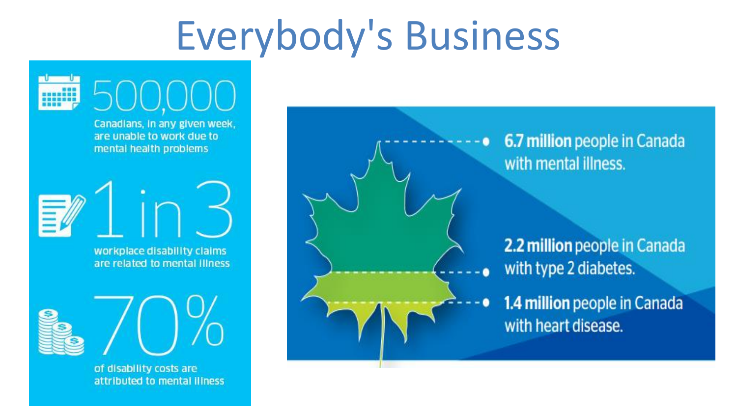## **Everybody's Business**



of disability costs are attributed to mental illness

6.7 million people in Canada with mental illness.

2.2 million people in Canada with type 2 diabetes.

1.4 million people in Canada with heart disease.

٠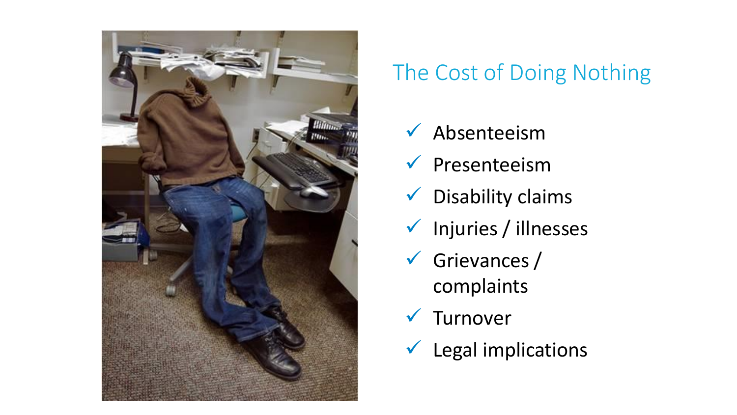

### The Cost of Doing Nothing

- $\checkmark$  Absenteeism
- $\sqrt{}$  Presenteeism
- $\checkmark$  Disability claims
- ✓ Injuries / illnesses
- $\checkmark$  Grievances / complaints
- ✓ Turnover
- $\checkmark$  Legal implications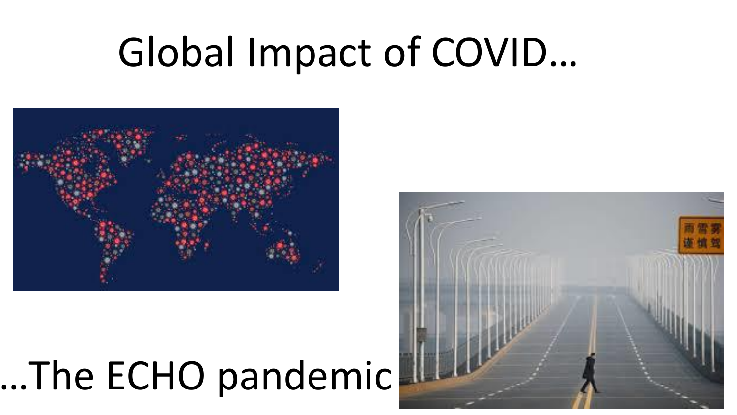# Global Impact of COVID...



# ...The ECHO pandemic

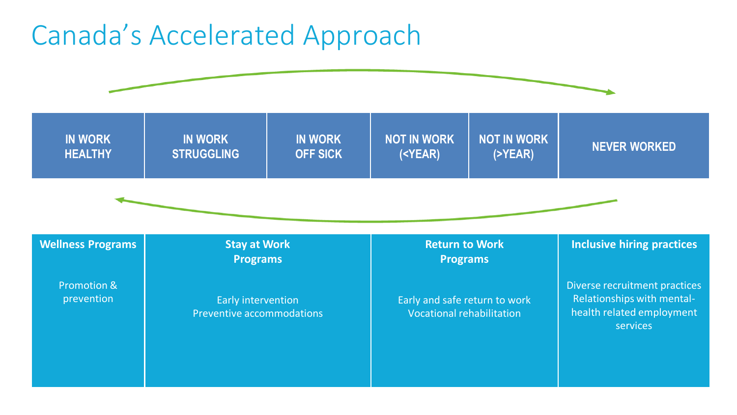### Canada's Accelerated Approach

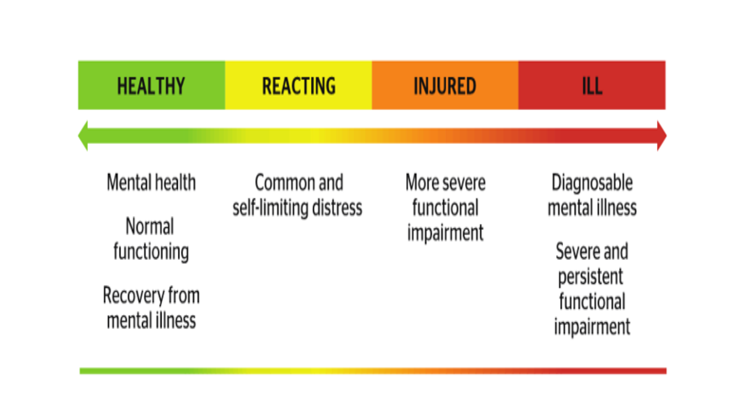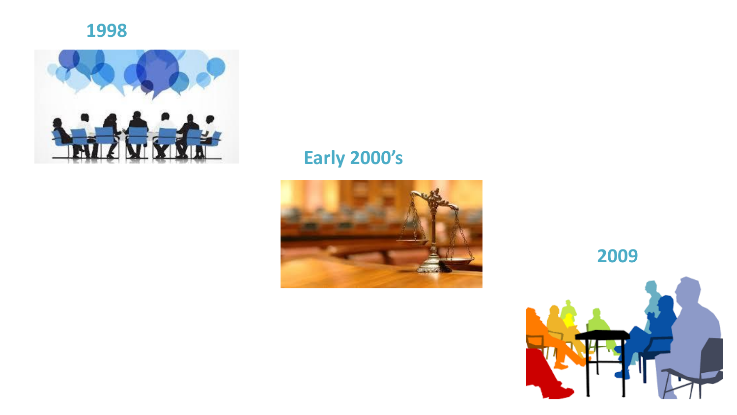



### **Early 2000's**



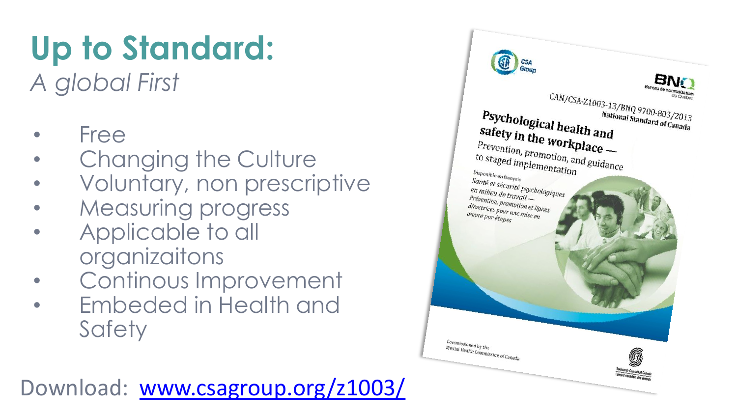# **Up to Standard:**

*A global First*

- Free
- Changing the Culture
- Voluntary, non prescriptive
- Measuring progress
- Applicable to all organizaitons
- Continous Improvement
- Embeded in Health and **Safety**



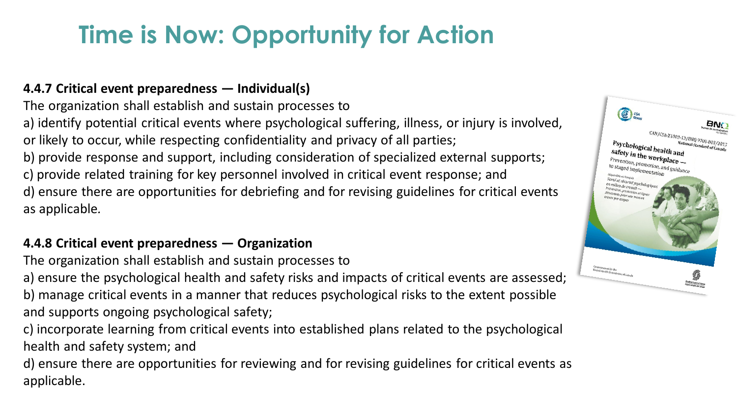### **Time is Now: Opportunity for Action**

#### **4.4.7 Critical event preparedness — Individual(s)**

The organization shall establish and sustain processes to a) identify potential critical events where psychological suffering, illness, or injury is involved, or likely to occur, while respecting confidentiality and privacy of all parties; b) provide response and support, including consideration of specialized external supports; c) provide related training for key personnel involved in critical event response; and d) ensure there are opportunities for debriefing and for revising guidelines for critical events as applicable*.*

#### **4.4.8 Critical event preparedness — Organization**

The organization shall establish and sustain processes to

a) ensure the psychological health and safety risks and impacts of critical events are assessed; b) manage critical events in a manner that reduces psychological risks to the extent possible and supports ongoing psychological safety;

c) incorporate learning from critical events into established plans related to the psychological health and safety system; and

d) ensure there are opportunities for reviewing and for revising guidelines for critical events as applicable.

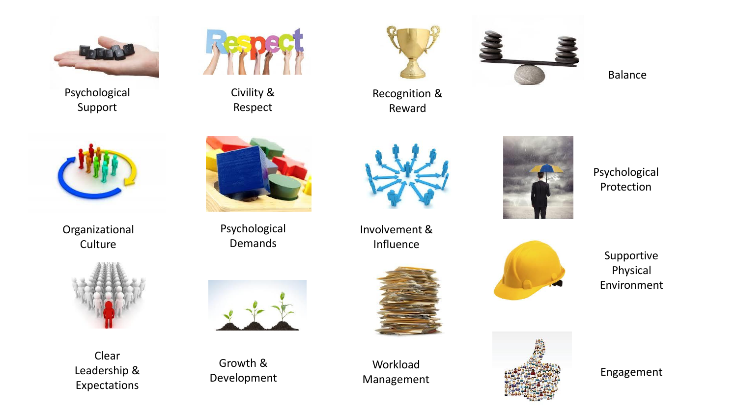

Psychological Support



Civility & Respect



Recognition & Reward



Balance



Organizational **Culture** 



Clear Leadership & Expectations



Psychological Demands



Growth & Development



Involvement & Influence



Workload



Psychological Protection

Supportive Physical Environment

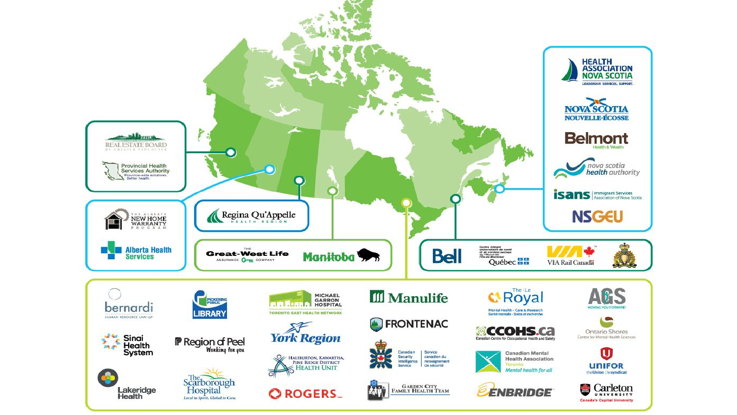